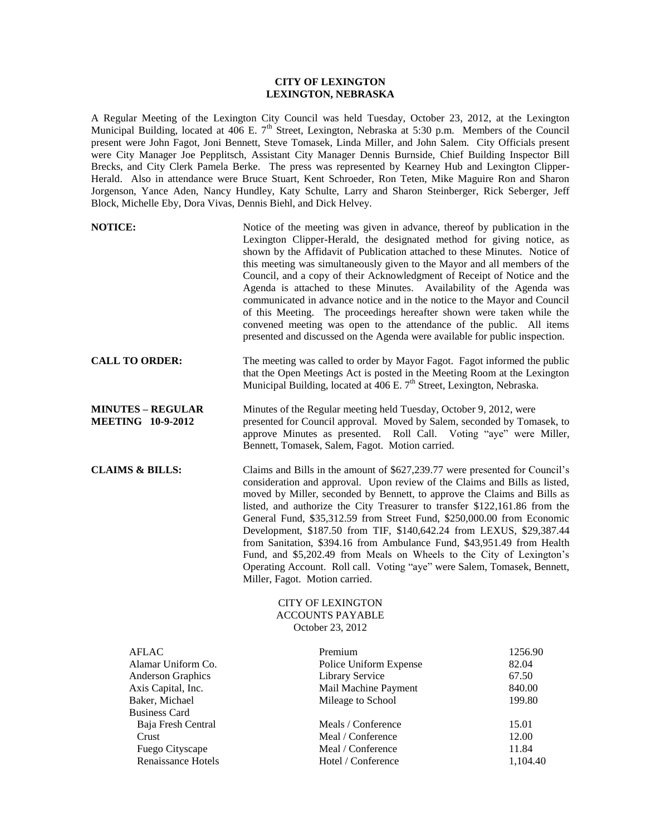## **CITY OF LEXINGTON LEXINGTON, NEBRASKA**

A Regular Meeting of the Lexington City Council was held Tuesday, October 23, 2012, at the Lexington Municipal Building, located at 406 E. 7<sup>th</sup> Street, Lexington, Nebraska at 5:30 p.m. Members of the Council present were John Fagot, Joni Bennett, Steve Tomasek, Linda Miller, and John Salem. City Officials present were City Manager Joe Pepplitsch, Assistant City Manager Dennis Burnside, Chief Building Inspector Bill Brecks, and City Clerk Pamela Berke. The press was represented by Kearney Hub and Lexington Clipper-Herald. Also in attendance were Bruce Stuart, Kent Schroeder, Ron Teten, Mike Maguire Ron and Sharon Jorgenson, Yance Aden, Nancy Hundley, Katy Schulte, Larry and Sharon Steinberger, Rick Seberger, Jeff Block, Michelle Eby, Dora Vivas, Dennis Biehl, and Dick Helvey.

| <b>NOTICE:</b>                                       | Notice of the meeting was given in advance, thereof by publication in the<br>Lexington Clipper-Herald, the designated method for giving notice, as<br>shown by the Affidavit of Publication attached to these Minutes. Notice of<br>this meeting was simultaneously given to the Mayor and all members of the<br>Council, and a copy of their Acknowledgment of Receipt of Notice and the<br>Agenda is attached to these Minutes. Availability of the Agenda was<br>communicated in advance notice and in the notice to the Mayor and Council<br>of this Meeting. The proceedings hereafter shown were taken while the<br>convened meeting was open to the attendance of the public. All items<br>presented and discussed on the Agenda were available for public inspection. |
|------------------------------------------------------|-------------------------------------------------------------------------------------------------------------------------------------------------------------------------------------------------------------------------------------------------------------------------------------------------------------------------------------------------------------------------------------------------------------------------------------------------------------------------------------------------------------------------------------------------------------------------------------------------------------------------------------------------------------------------------------------------------------------------------------------------------------------------------|
| <b>CALL TO ORDER:</b>                                | The meeting was called to order by Mayor Fagot. Fagot informed the public<br>that the Open Meetings Act is posted in the Meeting Room at the Lexington<br>Municipal Building, located at 406 E. 7 <sup>th</sup> Street, Lexington, Nebraska.                                                                                                                                                                                                                                                                                                                                                                                                                                                                                                                                  |
| <b>MINUTES - REGULAR</b><br><b>MEETING 10-9-2012</b> | Minutes of the Regular meeting held Tuesday, October 9, 2012, were<br>presented for Council approval. Moved by Salem, seconded by Tomasek, to<br>approve Minutes as presented. Roll Call. Voting "aye" were Miller,<br>Bennett, Tomasek, Salem, Fagot. Motion carried.                                                                                                                                                                                                                                                                                                                                                                                                                                                                                                        |
| <b>CLAIMS &amp; BILLS:</b>                           | Claims and Bills in the amount of \$627,239.77 were presented for Council's<br>consideration and approval. Upon review of the Claims and Bills as listed,<br>moved by Miller, seconded by Bennett, to approve the Claims and Bills as<br>listed, and authorize the City Treasurer to transfer \$122,161.86 from the<br>General Fund, \$35,312.59 from Street Fund, \$250,000.00 from Economic<br>Development, \$187.50 from TIF, \$140,642.24 from LEXUS, \$29,387.44<br>from Sanitation, \$394.16 from Ambulance Fund, \$43,951.49 from Health<br>Fund, and \$5,202.49 from Meals on Wheels to the City of Lexington's<br>Operating Account. Roll call. Voting "aye" were Salem, Tomasek, Bennett,<br>Miller, Fagot. Motion carried.                                         |
|                                                      | <b>CITY OF LEXINGTON</b><br><b>ACCOUNTS PAYABLE</b>                                                                                                                                                                                                                                                                                                                                                                                                                                                                                                                                                                                                                                                                                                                           |

October 23, 2012

| AFLAC                    | Premium                | 1256.90  |
|--------------------------|------------------------|----------|
| Alamar Uniform Co.       | Police Uniform Expense | 82.04    |
| <b>Anderson Graphics</b> | Library Service        | 67.50    |
| Axis Capital, Inc.       | Mail Machine Payment   | 840.00   |
| Baker, Michael           | Mileage to School      | 199.80   |
| <b>Business Card</b>     |                        |          |
| Baja Fresh Central       | Meals / Conference     | 15.01    |
| Crust                    | Meal / Conference      | 12.00    |
| Fuego Cityscape          | Meal / Conference      | 11.84    |
| Renaissance Hotels       | Hotel / Conference     | 1,104.40 |
|                          |                        |          |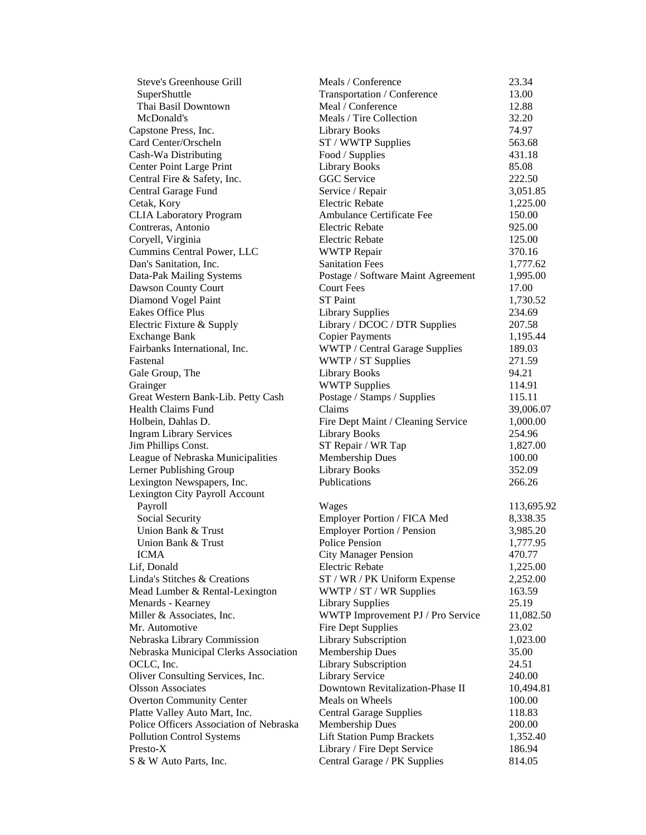| Steve's Greenhouse Grill                | Meals / Conference                    | 23.34      |
|-----------------------------------------|---------------------------------------|------------|
| SuperShuttle                            | Transportation / Conference           | 13.00      |
| Thai Basil Downtown                     | Meal / Conference                     | 12.88      |
| McDonald's                              | Meals / Tire Collection               | 32.20      |
| Capstone Press, Inc.                    | <b>Library Books</b>                  | 74.97      |
| Card Center/Orscheln                    | ST / WWTP Supplies                    | 563.68     |
| Cash-Wa Distributing                    | Food / Supplies                       | 431.18     |
| Center Point Large Print                | <b>Library Books</b>                  | 85.08      |
| Central Fire & Safety, Inc.             | GGC Service                           | 222.50     |
| Central Garage Fund                     | Service / Repair                      | 3,051.85   |
| Cetak, Kory                             | <b>Electric Rebate</b>                | 1,225.00   |
| <b>CLIA Laboratory Program</b>          | Ambulance Certificate Fee             | 150.00     |
| Contreras, Antonio                      | <b>Electric Rebate</b>                | 925.00     |
| Coryell, Virginia                       | <b>Electric Rebate</b>                | 125.00     |
| Cummins Central Power, LLC              | <b>WWTP</b> Repair                    | 370.16     |
| Dan's Sanitation, Inc.                  | <b>Sanitation Fees</b>                | 1,777.62   |
| Data-Pak Mailing Systems                | Postage / Software Maint Agreement    | 1,995.00   |
| Dawson County Court                     | <b>Court Fees</b>                     | 17.00      |
| Diamond Vogel Paint                     | <b>ST</b> Paint                       | 1,730.52   |
| <b>Eakes Office Plus</b>                | <b>Library Supplies</b>               | 234.69     |
| Electric Fixture & Supply               | Library / DCOC / DTR Supplies         | 207.58     |
| <b>Exchange Bank</b>                    | <b>Copier Payments</b>                | 1,195.44   |
| Fairbanks International, Inc.           | <b>WWTP</b> / Central Garage Supplies | 189.03     |
| Fastenal                                | WWTP / ST Supplies                    | 271.59     |
| Gale Group, The                         | <b>Library Books</b>                  | 94.21      |
| Grainger                                | <b>WWTP Supplies</b>                  | 114.91     |
| Great Western Bank-Lib. Petty Cash      | Postage / Stamps / Supplies           | 115.11     |
| <b>Health Claims Fund</b>               | Claims                                | 39,006.07  |
| Holbein, Dahlas D.                      | Fire Dept Maint / Cleaning Service    | 1,000.00   |
| <b>Ingram Library Services</b>          | <b>Library Books</b>                  | 254.96     |
| Jim Phillips Const.                     | ST Repair / WR Tap                    | 1,827.00   |
| League of Nebraska Municipalities       | <b>Membership Dues</b>                | 100.00     |
| Lerner Publishing Group                 | <b>Library Books</b>                  | 352.09     |
| Lexington Newspapers, Inc.              | Publications                          | 266.26     |
| Lexington City Payroll Account          |                                       |            |
| Payroll                                 | Wages                                 | 113,695.92 |
| Social Security                         | Employer Portion / FICA Med           | 8,338.35   |
| Union Bank & Trust                      | <b>Employer Portion / Pension</b>     | 3,985.20   |
| Union Bank & Trust                      | <b>Police Pension</b>                 | 1,777.95   |
| <b>ICMA</b>                             | <b>City Manager Pension</b>           | 470.77     |
| Lif, Donald                             | Electric Rebate                       | 1,225.00   |
| Linda's Stitches & Creations            | ST / WR / PK Uniform Expense          | 2,252.00   |
| Mead Lumber & Rental-Lexington          | WWTP / ST / WR Supplies               | 163.59     |
| Menards - Kearney                       | <b>Library Supplies</b>               | 25.19      |
| Miller & Associates, Inc.               | WWTP Improvement PJ / Pro Service     | 11,082.50  |
| Mr. Automotive                          | Fire Dept Supplies                    | 23.02      |
| Nebraska Library Commission             | Library Subscription                  | 1,023.00   |
| Nebraska Municipal Clerks Association   | <b>Membership Dues</b>                | 35.00      |
| OCLC, Inc.                              | <b>Library Subscription</b>           | 24.51      |
| Oliver Consulting Services, Inc.        | Library Service                       | 240.00     |
| <b>Olsson Associates</b>                | Downtown Revitalization-Phase II      | 10,494.81  |
| <b>Overton Community Center</b>         | Meals on Wheels                       | 100.00     |
| Platte Valley Auto Mart, Inc.           | <b>Central Garage Supplies</b>        | 118.83     |
| Police Officers Association of Nebraska | <b>Membership Dues</b>                | 200.00     |
| <b>Pollution Control Systems</b>        | <b>Lift Station Pump Brackets</b>     | 1,352.40   |
| Presto-X                                | Library / Fire Dept Service           | 186.94     |
| S & W Auto Parts, Inc.                  | Central Garage / PK Supplies          | 814.05     |
|                                         |                                       |            |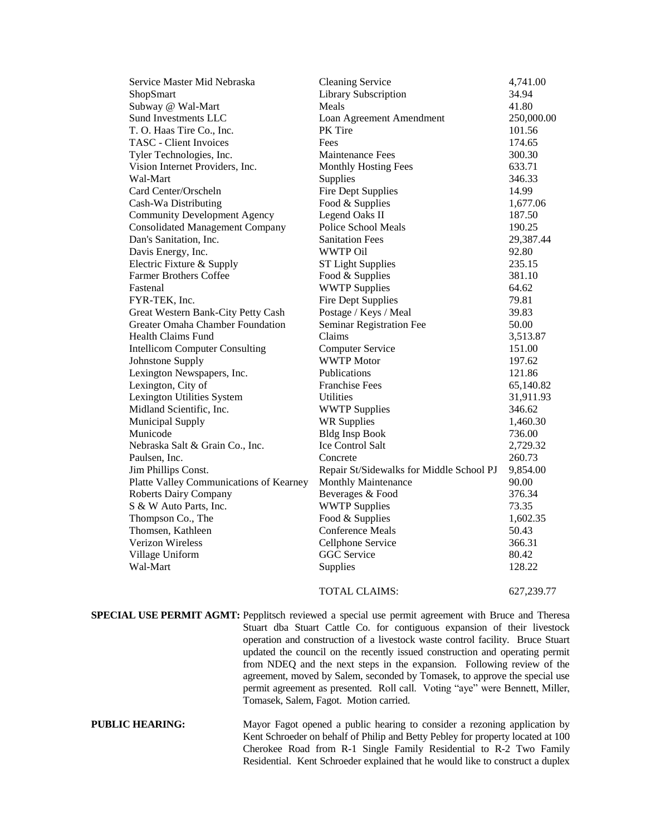| Service Master Mid Nebraska             | <b>Cleaning Service</b>                  | 4,741.00   |
|-----------------------------------------|------------------------------------------|------------|
| ShopSmart                               | Library Subscription                     | 34.94      |
| Subway @ Wal-Mart                       | Meals                                    | 41.80      |
| Sund Investments LLC                    | Loan Agreement Amendment                 | 250,000.00 |
| T. O. Haas Tire Co., Inc.               | PK Tire                                  | 101.56     |
| TASC - Client Invoices                  | Fees                                     | 174.65     |
| Tyler Technologies, Inc.                | <b>Maintenance Fees</b>                  | 300.30     |
| Vision Internet Providers, Inc.         | Monthly Hosting Fees                     | 633.71     |
| Wal-Mart                                | Supplies                                 | 346.33     |
| Card Center/Orscheln                    | <b>Fire Dept Supplies</b>                | 14.99      |
| Cash-Wa Distributing                    | Food & Supplies                          | 1,677.06   |
| <b>Community Development Agency</b>     | Legend Oaks II                           | 187.50     |
| <b>Consolidated Management Company</b>  | Police School Meals                      | 190.25     |
| Dan's Sanitation, Inc.                  | <b>Sanitation Fees</b>                   | 29,387.44  |
| Davis Energy, Inc.                      | <b>WWTP Oil</b>                          | 92.80      |
| Electric Fixture & Supply               | <b>ST Light Supplies</b>                 | 235.15     |
| <b>Farmer Brothers Coffee</b>           | Food & Supplies                          | 381.10     |
| Fastenal                                | <b>WWTP Supplies</b>                     | 64.62      |
| FYR-TEK, Inc.                           | <b>Fire Dept Supplies</b>                | 79.81      |
| Great Western Bank-City Petty Cash      | Postage / Keys / Meal                    | 39.83      |
| Greater Omaha Chamber Foundation        | Seminar Registration Fee                 | 50.00      |
| <b>Health Claims Fund</b>               | Claims                                   | 3,513.87   |
| <b>Intellicom Computer Consulting</b>   | <b>Computer Service</b>                  | 151.00     |
| Johnstone Supply                        | <b>WWTP</b> Motor                        | 197.62     |
| Lexington Newspapers, Inc.              | Publications                             | 121.86     |
| Lexington, City of                      | <b>Franchise Fees</b>                    | 65,140.82  |
| Lexington Utilities System              | Utilities                                | 31,911.93  |
| Midland Scientific, Inc.                | <b>WWTP Supplies</b>                     | 346.62     |
| Municipal Supply                        | <b>WR Supplies</b>                       | 1,460.30   |
| Municode                                | <b>Bldg Insp Book</b>                    | 736.00     |
| Nebraska Salt & Grain Co., Inc.         | Ice Control Salt                         | 2,729.32   |
| Paulsen, Inc.                           | Concrete                                 | 260.73     |
| Jim Phillips Const.                     | Repair St/Sidewalks for Middle School PJ | 9,854.00   |
| Platte Valley Communications of Kearney | Monthly Maintenance                      | 90.00      |
| <b>Roberts Dairy Company</b>            | Beverages & Food                         | 376.34     |
| S & W Auto Parts, Inc.                  | <b>WWTP Supplies</b>                     | 73.35      |
| Thompson Co., The                       | Food & Supplies                          | 1,602.35   |
| Thomsen, Kathleen                       | <b>Conference Meals</b>                  | 50.43      |
| Verizon Wireless                        | Cellphone Service                        | 366.31     |
| Village Uniform                         | <b>GGC</b> Service                       | 80.42      |
| Wal-Mart                                | Supplies                                 | 128.22     |
|                                         | <b>TOTAL CLAIMS:</b>                     | 627,239.77 |

**SPECIAL USE PERMIT AGMT:** Pepplitsch reviewed a special use permit agreement with Bruce and Theresa Stuart dba Stuart Cattle Co. for contiguous expansion of their livestock operation and construction of a livestock waste control facility. Bruce Stuart updated the council on the recently issued construction and operating permit from NDEQ and the next steps in the expansion. Following review of the agreement, moved by Salem, seconded by Tomasek, to approve the special use permit agreement as presented. Roll call. Voting "aye" were Bennett, Miller, Tomasek, Salem, Fagot. Motion carried.

**PUBLIC HEARING:** Mayor Fagot opened a public hearing to consider a rezoning application by Kent Schroeder on behalf of Philip and Betty Pebley for property located at 100 Cherokee Road from R-1 Single Family Residential to R-2 Two Family Residential. Kent Schroeder explained that he would like to construct a duplex